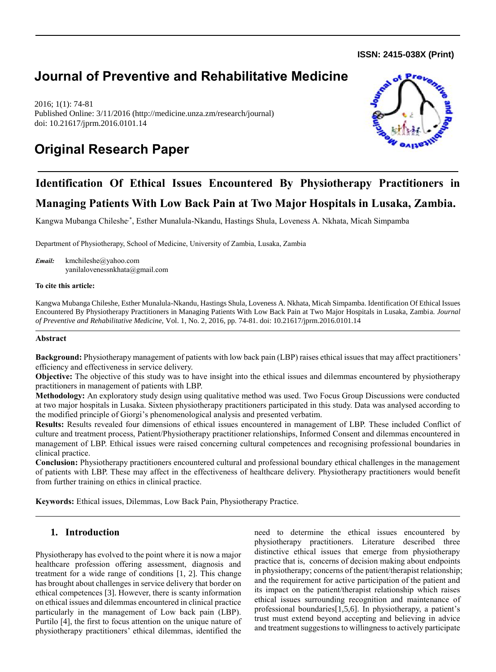**ISSN: 2415-038X (Print)** 

# **Journal of Preventive and Rehabilitative Medicine**

2016; 1(1): 74-81 Published Online: 3/11/2016 (http://medicine.unza.zm/research/journal) doi: 10.21617/jprm.2016.0101.14





# **Identification Of Ethical Issues Encountered By Physiotherapy Practitioners in Managing Patients With Low Back Pain at Two Major Hospitals in Lusaka, Zambia.**

Kangwa Mubanga Chileshe,\*, Esther Munalula-Nkandu, Hastings Shula, Loveness A. Nkhata, Micah Simpamba

Department of Physiotherapy, School of Medicine, University of Zambia, Lusaka, Zambia

*Email:* kmchileshe@yahoo.com yanilalovenessnkhata@gmail.com

### **To cite this article:**

Kangwa Mubanga Chileshe, Esther Munalula-Nkandu, Hastings Shula, Loveness A. Nkhata, Micah Simpamba. Identification Of Ethical Issues Encountered By Physiotherapy Practitioners in Managing Patients With Low Back Pain at Two Major Hospitals in Lusaka, Zambia. *Journal of Preventive and Rehabilitative Medicine,* Vol. 1, No. 2, 2016, pp. 74-81. doi: 10.21617/jprm.2016.0101.14

## **Abstract**

**Background:** Physiotherapy management of patients with low back pain (LBP) raises ethical issues that may affect practitioners' efficiency and effectiveness in service delivery.

**Objective:** The objective of this study was to have insight into the ethical issues and dilemmas encountered by physiotherapy practitioners in management of patients with LBP.

**Methodology:** An exploratory study design using qualitative method was used. Two Focus Group Discussions were conducted at two major hospitals in Lusaka. Sixteen physiotherapy practitioners participated in this study. Data was analysed according to the modified principle of Giorgi's phenomenological analysis and presented verbatim.

**Results:** Results revealed four dimensions of ethical issues encountered in management of LBP. These included Conflict of culture and treatment process, Patient/Physiotherapy practitioner relationships, Informed Consent and dilemmas encountered in management of LBP. Ethical issues were raised concerning cultural competences and recognising professional boundaries in clinical practice.

**Conclusion:** Physiotherapy practitioners encountered cultural and professional boundary ethical challenges in the management of patients with LBP. These may affect in the effectiveness of healthcare delivery. Physiotherapy practitioners would benefit from further training on ethics in clinical practice.

**Keywords:** Ethical issues, Dilemmas, Low Back Pain, Physiotherapy Practice.

# **1. Introduction**

Physiotherapy has evolved to the point where it is now a major healthcare profession offering assessment, diagnosis and treatment for a wide range of conditions [1, 2]. This change has brought about challenges in service delivery that border on ethical competences [3]. However, there is scanty information on ethical issues and dilemmas encountered in clinical practice particularly in the management of Low back pain (LBP). Purtilo [4], the first to focus attention on the unique nature of physiotherapy practitioners' ethical dilemmas, identified the need to determine the ethical issues encountered by physiotherapy practitioners. Literature described three distinctive ethical issues that emerge from physiotherapy practice that is, concerns of decision making about endpoints in physiotherapy; concerns of the patient/therapist relationship; and the requirement for active participation of the patient and its impact on the patient/therapist relationship which raises ethical issues surrounding recognition and maintenance of professional boundaries[1,5,6]. In physiotherapy, a patient's trust must extend beyond accepting and believing in advice and treatment suggestions to willingness to actively participate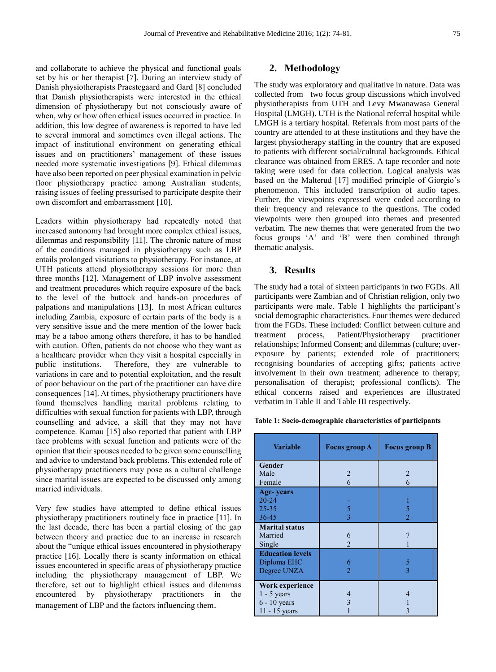and collaborate to achieve the physical and functional goals set by his or her therapist [7]. During an interview study of Danish physiotherapists Praestegaard and Gard [8] concluded that Danish physiotherapists were interested in the ethical dimension of physiotherapy but not consciously aware of when, why or how often ethical issues occurred in practice. In addition, this low degree of awareness is reported to have led to several immoral and sometimes even illegal actions. The impact of institutional environment on generating ethical issues and on practitioners' management of these issues needed more systematic investigations [9]. Ethical dilemmas have also been reported on peer physical examination in pelvic floor physiotherapy practice among Australian students; raising issues of feeling pressurised to participate despite their own discomfort and embarrassment [10].

Leaders within physiotherapy had repeatedly noted that increased autonomy had brought more complex ethical issues, dilemmas and responsibility [11]. The chronic nature of most of the conditions managed in physiotherapy such as LBP entails prolonged visitations to physiotherapy. For instance, at UTH patients attend physiotherapy sessions for more than three months [12]. Management of LBP involve assessment and treatment procedures which require exposure of the back to the level of the buttock and hands-on procedures of palpations and manipulations [13]. In most African cultures including Zambia, exposure of certain parts of the body is a very sensitive issue and the mere mention of the lower back may be a taboo among others therefore, it has to be handled with caution. Often, patients do not choose who they want as a healthcare provider when they visit a hospital especially in public institutions. Therefore, they are vulnerable to variations in care and to potential exploitation, and the result of poor behaviour on the part of the practitioner can have dire consequences [14]. At times, physiotherapy practitioners have found themselves handling marital problems relating to difficulties with sexual function for patients with LBP, through counselling and advice, a skill that they may not have competence. Kamau [15] also reported that patient with LBP face problems with sexual function and patients were of the opinion that their spouses needed to be given some counselling and advice to understand back problems. This extended role of physiotherapy practitioners may pose as a cultural challenge since marital issues are expected to be discussed only among married individuals.

Very few studies have attempted to define ethical issues physiotherapy practitioners routinely face in practice [11]. In the last decade, there has been a partial closing of the gap between theory and practice due to an increase in research about the "unique ethical issues encountered in physiotherapy practice [16]. Locally there is scanty information on ethical issues encountered in specific areas of physiotherapy practice including the physiotherapy management of LBP. We therefore, set out to highlight ethical issues and dilemmas encountered by physiotherapy practitioners in the management of LBP and the factors influencing them.

# **2. Methodology**

The study was exploratory and qualitative in nature. Data was collected from two focus group discussions which involved physiotherapists from UTH and Levy Mwanawasa General Hospital (LMGH). UTH is the National referral hospital while LMGH is a tertiary hospital. Referrals from most parts of the country are attended to at these institutions and they have the largest physiotherapy staffing in the country that are exposed to patients with different social/cultural backgrounds. Ethical clearance was obtained from ERES. A tape recorder and note taking were used for data collection. Logical analysis was based on the Malterud [17] modified principle of Giorgio's phenomenon. This included transcription of audio tapes. Further, the viewpoints expressed were coded according to their frequency and relevance to the questions. The coded viewpoints were then grouped into themes and presented verbatim. The new themes that were generated from the two focus groups 'A' and 'B' were then combined through thematic analysis.

# **3. Results**

The study had a total of sixteen participants in two FGDs. All participants were Zambian and of Christian religion, only two participants were male. Table 1 highlights the participant's social demographic characteristics. Four themes were deduced from the FGDs. These included: Conflict between culture and treatment process, Patient/Physiotherapy practitioner relationships; Informed Consent; and dilemmas (culture; overexposure by patients; extended role of practitioners; recognising boundaries of accepting gifts; patients active involvement in their own treatment; adherence to therapy; personalisation of therapist; professional conflicts). The ethical concerns raised and experiences are illustrated verbatim in Table II and Table III respectively.

**Table 1: Socio-demographic characteristics of participants**

| <b>Variable</b>         | <b>Focus group A</b> | <b>Focus group B</b> |
|-------------------------|----------------------|----------------------|
| Gender                  |                      |                      |
| Male                    | $\mathfrak{D}$       | $\overline{2}$       |
| Female                  | 6                    | 6                    |
| Age-years               |                      |                      |
| $20 - 24$               |                      |                      |
| $25 - 35$               | 5                    | 5                    |
| 36-45                   | 3                    | $\mathfrak{D}$       |
| <b>Marital status</b>   |                      |                      |
| Married                 | 6                    |                      |
| Single                  | $\mathfrak{D}$       |                      |
| <b>Education levels</b> |                      |                      |
| Diploma EHC             | 6                    | 5                    |
| Degree UNZA             | $\overline{2}$       | 3                    |
| Work experience         |                      |                      |
| $1 - 5$ years           | 4                    | 4                    |
| $6 - 10$ years          |                      |                      |
| $11 - 15$ years         |                      |                      |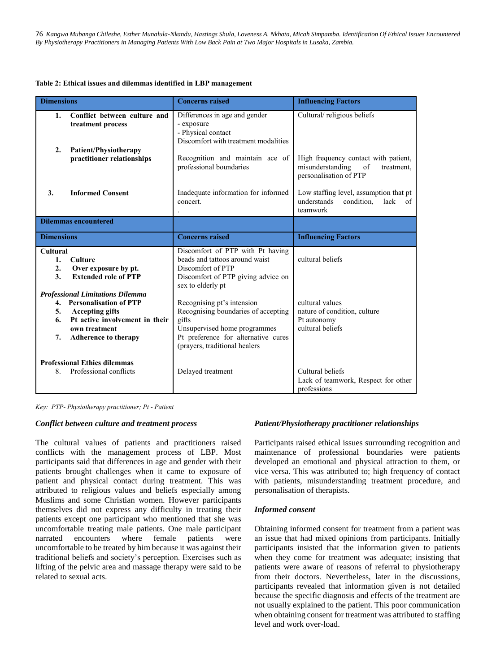#### **Table 2: Ethical issues and dilemmas identified in LBP management**

| <b>Dimensions</b>                             |                                                                                                                                                                                  | <b>Concerns raised</b>                                                                                                                                                             | <b>Influencing Factors</b>                                                                             |
|-----------------------------------------------|----------------------------------------------------------------------------------------------------------------------------------------------------------------------------------|------------------------------------------------------------------------------------------------------------------------------------------------------------------------------------|--------------------------------------------------------------------------------------------------------|
| 1.<br>2.                                      | Conflict between culture and<br>treatment process                                                                                                                                | Differences in age and gender<br>- exposure<br>- Physical contact<br>Discomfort with treatment modalities                                                                          | Cultural/religious beliefs                                                                             |
|                                               | Patient/Physiotherapy<br>practitioner relationships                                                                                                                              | Recognition and maintain ace of<br>professional boundaries                                                                                                                         | High frequency contact with patient,<br>misunderstanding<br>of<br>treatment.<br>personalisation of PTP |
| 3.                                            | <b>Informed Consent</b>                                                                                                                                                          | Inadequate information for informed<br>concert.                                                                                                                                    | Low staffing level, assumption that pt<br>understands<br>condition,<br>lack of<br>teamwork             |
| <b>Dilemmas encountered</b>                   |                                                                                                                                                                                  |                                                                                                                                                                                    |                                                                                                        |
| <b>Dimensions</b>                             |                                                                                                                                                                                  | <b>Concerns raised</b>                                                                                                                                                             | <b>Influencing Factors</b>                                                                             |
| <b>Cultural</b><br>1.<br>2.<br>3 <sub>1</sub> | <b>Culture</b><br>Over exposure by pt.<br><b>Extended role of PTP</b>                                                                                                            | Discomfort of PTP with Pt having<br>beads and tattoos around waist<br>Discomfort of PTP<br>Discomfort of PTP giving advice on<br>sex to elderly pt                                 | cultural beliefs                                                                                       |
| 5.<br>6.<br>7.                                | <b>Professional Limitations Dilemma</b><br>4. Personalisation of PTP<br><b>Accepting gifts</b><br>Pt active involvement in their<br>own treatment<br><b>Adherence to therapy</b> | Recognising pt's intension<br>Recognising boundaries of accepting<br>gifts<br>Unsupervised home programmes<br>Pt preference for alternative cures<br>(prayers, traditional healers | cultural values<br>nature of condition, culture<br>Pt autonomy<br>cultural beliefs                     |
| 8.                                            | <b>Professional Ethics dilemmas</b><br>Professional conflicts                                                                                                                    | Delayed treatment                                                                                                                                                                  | Cultural beliefs<br>Lack of teamwork, Respect for other<br>professions                                 |

*Key: PTP- Physiotherapy practitioner; Pt - Patient*

#### *Conflict between culture and treatment process*

The cultural values of patients and practitioners raised conflicts with the management process of LBP. Most participants said that differences in age and gender with their patients brought challenges when it came to exposure of patient and physical contact during treatment. This was attributed to religious values and beliefs especially among Muslims and some Christian women. However participants themselves did not express any difficulty in treating their patients except one participant who mentioned that she was uncomfortable treating male patients. One male participant narrated encounters where female patients were uncomfortable to be treated by him because it was against their traditional beliefs and society's perception. Exercises such as lifting of the pelvic area and massage therapy were said to be related to sexual acts.

#### *Patient/Physiotherapy practitioner relationships*

Participants raised ethical issues surrounding recognition and maintenance of professional boundaries were patients developed an emotional and physical attraction to them, or vice versa. This was attributed to; high frequency of contact with patients, misunderstanding treatment procedure, and personalisation of therapists.

#### *Informed consent*

Obtaining informed consent for treatment from a patient was an issue that had mixed opinions from participants. Initially participants insisted that the information given to patients when they come for treatment was adequate; insisting that patients were aware of reasons of referral to physiotherapy from their doctors. Nevertheless, later in the discussions, participants revealed that information given is not detailed because the specific diagnosis and effects of the treatment are not usually explained to the patient. This poor communication when obtaining consent for treatment was attributed to staffing level and work over-load.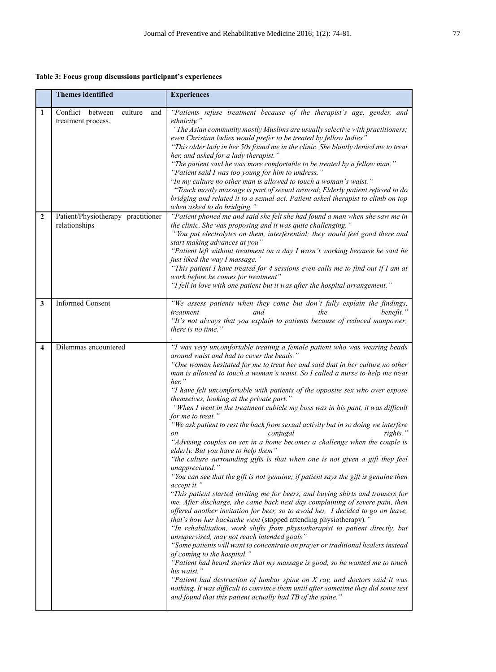**Table 3: Focus group discussions participant's experiences**

|                | <b>Themes identified</b>                                 | <b>Experiences</b>                                                                                                                                                                                                                                                                                                                                                                                                                                                                                                                                                                                                                                                                                                                                                                                                                                                                                                                                                                                                                                                                                                                                                                                                                                                                                                                                                                                                                                                                                                                                                                                                                                                                                                                                                                                                                                                                                |
|----------------|----------------------------------------------------------|---------------------------------------------------------------------------------------------------------------------------------------------------------------------------------------------------------------------------------------------------------------------------------------------------------------------------------------------------------------------------------------------------------------------------------------------------------------------------------------------------------------------------------------------------------------------------------------------------------------------------------------------------------------------------------------------------------------------------------------------------------------------------------------------------------------------------------------------------------------------------------------------------------------------------------------------------------------------------------------------------------------------------------------------------------------------------------------------------------------------------------------------------------------------------------------------------------------------------------------------------------------------------------------------------------------------------------------------------------------------------------------------------------------------------------------------------------------------------------------------------------------------------------------------------------------------------------------------------------------------------------------------------------------------------------------------------------------------------------------------------------------------------------------------------------------------------------------------------------------------------------------------------|
| 1              | Conflict between<br>culture<br>and<br>treatment process. | "Patients refuse treatment because of the therapist's age, gender, and<br>ethnicity."<br>"The Asian community mostly Muslims are usually selective with practitioners;<br>even Christian ladies would prefer to be treated by fellow ladies"<br>"This older lady in her 50s found me in the clinic. She bluntly denied me to treat<br>her, and asked for a lady therapist."<br>"The patient said he was more comfortable to be treated by a fellow man."<br>"Patient said I was too young for him to undress."<br>"In my culture no other man is allowed to touch a woman's waist."<br>"Touch mostly massage is part of sexual arousal; Elderly patient refused to do<br>bridging and related it to a sexual act. Patient asked therapist to climb on top<br>when asked to do bridging."                                                                                                                                                                                                                                                                                                                                                                                                                                                                                                                                                                                                                                                                                                                                                                                                                                                                                                                                                                                                                                                                                                          |
| $\overline{2}$ | Patient/Physiotherapy practitioner<br>relationships      | "Patient phoned me and said she felt she had found a man when she saw me in<br>the clinic. She was proposing and it was quite challenging."<br>"You put electrolytes on them, interferential; they would feel good there and<br>start making advances at you"<br>"Patient left without treatment on a day I wasn't working because he said he<br>just liked the way I massage."<br>"This patient I have treated for 4 sessions even calls me to find out if I am at<br>work before he comes for treatment"<br>"I fell in love with one patient but it was after the hospital arrangement."                                                                                                                                                                                                                                                                                                                                                                                                                                                                                                                                                                                                                                                                                                                                                                                                                                                                                                                                                                                                                                                                                                                                                                                                                                                                                                        |
| 3              | <b>Informed Consent</b>                                  | "We assess patients when they come but don't fully explain the findings,<br>benefit.'<br>treatment<br>the<br>and<br>"It's not always that you explain to patients because of reduced manpower;<br>there is no time."                                                                                                                                                                                                                                                                                                                                                                                                                                                                                                                                                                                                                                                                                                                                                                                                                                                                                                                                                                                                                                                                                                                                                                                                                                                                                                                                                                                                                                                                                                                                                                                                                                                                              |
| 4              | Dilemmas encountered                                     | "I was very uncomfortable treating a female patient who was wearing beads<br>around waist and had to cover the beads."<br>"One woman hesitated for me to treat her and said that in her culture no other<br>man is allowed to touch a woman's waist. So I called a nurse to help me treat<br>her."<br>"I have felt uncomfortable with patients of the opposite sex who over expose<br>themselves, looking at the private part."<br>"When I went in the treatment cubicle my boss was in his pant, it was difficult<br>for me to treat."<br>"We ask patient to rest the back from sexual activity but in so doing we interfere<br>conjugal<br>rights."<br>"Advising couples on sex in a home becomes a challenge when the couple is<br>elderly. But you have to help them"<br>"the culture surrounding gifts is that when one is not given a gift they feel<br>unappreciated."<br>"You can see that the gift is not genuine; if patient says the gift is genuine then<br>accept it."<br>"This patient started inviting me for beers, and buying shirts and trousers for<br>me. After discharge, she came back next day complaining of severe pain, then<br>offered another invitation for beer, so to avoid her, I decided to go on leave,<br>that's how her backache went (stopped attending physiotherapy)."<br>"In rehabilitation, work shifts from physiotherapist to patient directly, but<br>unsupervised, may not reach intended goals"<br>"Some patients will want to concentrate on prayer or traditional healers instead<br>of coming to the hospital."<br>"Patient had heard stories that my massage is good, so he wanted me to touch<br>his waist."<br>"Patient had destruction of lumbar spine on X ray, and doctors said it was<br>nothing. It was difficult to convince them until after sometime they did some test<br>and found that this patient actually had TB of the spine." |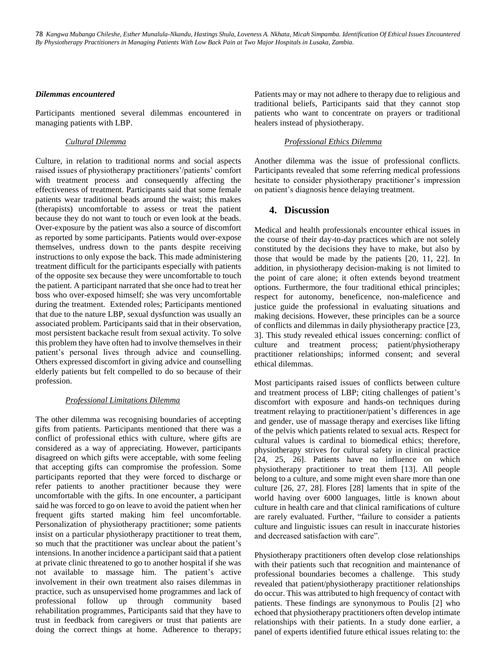#### *Dilemmas encountered*

Participants mentioned several dilemmas encountered in managing patients with LBP.

## *Cultural Dilemma*

Culture, in relation to traditional norms and social aspects raised issues of physiotherapy practitioners'/patients' comfort with treatment process and consequently affecting the effectiveness of treatment. Participants said that some female patients wear traditional beads around the waist; this makes (therapists) uncomfortable to assess or treat the patient because they do not want to touch or even look at the beads. Over-exposure by the patient was also a source of discomfort as reported by some participants. Patients would over-expose themselves, undress down to the pants despite receiving instructions to only expose the back. This made administering treatment difficult for the participants especially with patients of the opposite sex because they were uncomfortable to touch the patient. A participant narrated that she once had to treat her boss who over-exposed himself; she was very uncomfortable during the treatment. Extended roles; Participants mentioned that due to the nature LBP, sexual dysfunction was usually an associated problem. Participants said that in their observation, most persistent backache result from sexual activity. To solve this problem they have often had to involve themselves in their patient's personal lives through advice and counselling. Others expressed discomfort in giving advice and counselling elderly patients but felt compelled to do so because of their profession.

#### *Professional Limitations Dilemma*

The other dilemma was recognising boundaries of accepting gifts from patients. Participants mentioned that there was a conflict of professional ethics with culture, where gifts are considered as a way of appreciating. However, participants disagreed on which gifts were acceptable, with some feeling that accepting gifts can compromise the profession. Some participants reported that they were forced to discharge or refer patients to another practitioner because they were uncomfortable with the gifts. In one encounter, a participant said he was forced to go on leave to avoid the patient when her frequent gifts started making him feel uncomfortable. Personalization of physiotherapy practitioner; some patients insist on a particular physiotherapy practitioner to treat them, so much that the practitioner was unclear about the patient's intensions. In another incidence a participant said that a patient at private clinic threatened to go to another hospital if she was not available to massage him. The patient's active involvement in their own treatment also raises dilemmas in practice, such as unsupervised home programmes and lack of professional follow up through community based rehabilitation programmes, Participants said that they have to trust in feedback from caregivers or trust that patients are doing the correct things at home. Adherence to therapy; Patients may or may not adhere to therapy due to religious and traditional beliefs, Participants said that they cannot stop patients who want to concentrate on prayers or traditional healers instead of physiotherapy.

## *Professional Ethics Dilemma*

Another dilemma was the issue of professional conflicts. Participants revealed that some referring medical professions hesitate to consider physiotherapy practitioner's impression on patient's diagnosis hence delaying treatment.

## **4. Discussion**

Medical and health professionals encounter ethical issues in the course of their day-to-day practices which are not solely constituted by the decisions they have to make, but also by those that would be made by the patients [20, 11, 22]. In addition, in physiotherapy decision-making is not limited to the point of care alone; it often extends beyond treatment options. Furthermore, the four traditional ethical principles; respect for autonomy, beneficence, non-maleficence and justice guide the professional in evaluating situations and making decisions. However, these principles can be a source of conflicts and dilemmas in daily physiotherapy practice [23, 3]. This study revealed ethical issues concerning: conflict of culture and treatment process; patient/physiotherapy practitioner relationships; informed consent; and several ethical dilemmas.

Most participants raised issues of conflicts between culture and treatment process of LBP; citing challenges of patient's discomfort with exposure and hands-on techniques during treatment relaying to practitioner/patient's differences in age and gender, use of massage therapy and exercises like lifting of the pelvis which patients related to sexual acts. Respect for cultural values is cardinal to biomedical ethics; therefore, physiotherapy strives for cultural safety in clinical practice [24, 25, 26]. Patients have no influence on which physiotherapy practitioner to treat them [13]. All people belong to a culture, and some might even share more than one culture [26, 27, 28]. Flores [28] laments that in spite of the world having over 6000 languages, little is known about culture in health care and that clinical ramifications of culture are rarely evaluated. Further, "failure to consider a patients culture and linguistic issues can result in inaccurate histories and decreased satisfaction with care".

Physiotherapy practitioners often develop close relationships with their patients such that recognition and maintenance of professional boundaries becomes a challenge. This study revealed that patient/physiotherapy practitioner relationships do occur. This was attributed to high frequency of contact with patients. These findings are synonymous to Poulis [2] who echoed that physiotherapy practitioners often develop intimate relationships with their patients. In a study done earlier, a panel of experts identified future ethical issues relating to: the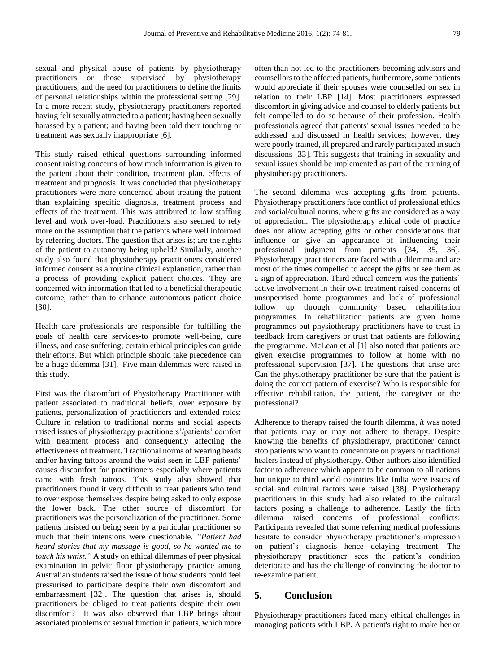sexual and physical abuse of patients by physiotherapy practitioners or those supervised by physiotherapy practitioners; and the need for practitioners to define the limits of personal relationships within the professional setting [29]. In a more recent study, physiotherapy practitioners reported having felt sexually attracted to a patient; having been sexually harassed by a patient; and having been told their touching or treatment was sexually inappropriate [6].

This study raised ethical questions surrounding informed consent raising concerns of how much information is given to the patient about their condition, treatment plan, effects of treatment and prognosis. It was concluded that physiotherapy practitioners were more concerned about treating the patient than explaining specific diagnosis, treatment process and effects of the treatment. This was attributed to low staffing level and work over-load. Practitioners also seemed to rely more on the assumption that the patients where well informed by referring doctors. The question that arises is; are the rights of the patient to autonomy being upheld? Similarly, another study also found that physiotherapy practitioners considered informed consent as a routine clinical explanation, rather than a process of providing explicit patient choices. They are concerned with information that led to a beneficial therapeutic outcome, rather than to enhance autonomous patient choice [30].

Health care professionals are responsible for fulfilling the goals of health care services-to promote well-being, cure illness, and ease suffering; certain ethical principles can guide their efforts. But which principle should take precedence can be a huge dilemma [31]. Five main dilemmas were raised in this study.

First was the discomfort of Physiotherapy Practitioner with patient associated to traditional beliefs, over exposure by patients, personalization of practitioners and extended roles: Culture in relation to traditional norms and social aspects raised issues of physiotherapy practitioners'/patients' comfort with treatment process and consequently affecting the effectiveness of treatment. Traditional norms of wearing beads and/or having tattoos around the waist seen in LBP patients' causes discomfort for practitioners especially where patients came with fresh tattoos. This study also showed that practitioners found it very difficult to treat patients who tend to over expose themselves despite being asked to only expose the lower back. The other source of discomfort for practitioners was the personalization of the practitioner. Some patients insisted on being seen by a particular practitioner so much that their intensions were questionable. *"Patient had heard stories that my massage is good, so he wanted me to touch his waist."* A study on ethical dilemmas of peer physical examination in pelvic floor physiotherapy practice among Australian students raised the issue of how students could feel pressurised to participate despite their own discomfort and embarrassment [32]. The question that arises is, should practitioners be obliged to treat patients despite their own discomfort? It was also observed that LBP brings about associated problems of sexual function in patients, which more often than not led to the practitioners becoming advisors and counsellors to the affected patients, furthermore, some patients would appreciate if their spouses were counselled on sex in relation to their LBP [14]. Most practitioners expressed discomfort in giving advice and counsel to elderly patients but felt compelled to do so because of their profession. Health professionals agreed that patients' sexual issues needed to be addressed and discussed in health services; however, they were poorly trained, ill prepared and rarely participated in such discussions [33]. This suggests that training in sexuality and sexual issues should be implemented as part of the training of physiotherapy practitioners.

The second dilemma was accepting gifts from patients*.*  Physiotherapy practitioners face conflict of professional ethics and social/cultural norms, where gifts are considered as a way of appreciation. The physiotherapy ethical code of practice does not allow accepting gifts or other considerations that influence or give an appearance of influencing their professional judgment from patients [34, 35, 36]. Physiotherapy practitioners are faced with a dilemma and are most of the times compelled to accept the gifts or see them as a sign of appreciation. Third ethical concern was the patients' active involvement in their own treatment raised concerns of unsupervised home programmes and lack of professional follow up through community based rehabilitation programmes. In rehabilitation patients are given home programmes but physiotherapy practitioners have to trust in feedback from caregivers or trust that patients are following the programme. McLean et al [1] also noted that patients are given exercise programmes to follow at home with no professional supervision [37]. The questions that arise are: Can the physiotherapy practitioner be sure that the patient is doing the correct pattern of exercise? Who is responsible for effective rehabilitation, the patient, the caregiver or the professional?

Adherence to therapy raised the fourth dilemma*, i*t was noted that patients may or may not adhere to therapy. Despite knowing the benefits of physiotherapy, practitioner cannot stop patients who want to concentrate on prayers or traditional healers instead of physiotherapy. Other authors also identified factor to adherence which appear to be common to all nations but unique to third world countries like India were issues of social and cultural factors were raised [38]. Physiotherapy practitioners in this study had also related to the cultural factors posing a challenge to adherence. Lastly the fifth dilemma raised concerns of professional conflicts: Participants revealed that some referring medical professions hesitate to consider physiotherapy practitioner's impression on patient's diagnosis hence delaying treatment. The physiotherapy practitioner sees the patient's condition deteriorate and has the challenge of convincing the doctor to re-examine patient.

## **5. Conclusion**

Physiotherapy practitioners faced many ethical challenges in managing patients with LBP. A patient's right to make her or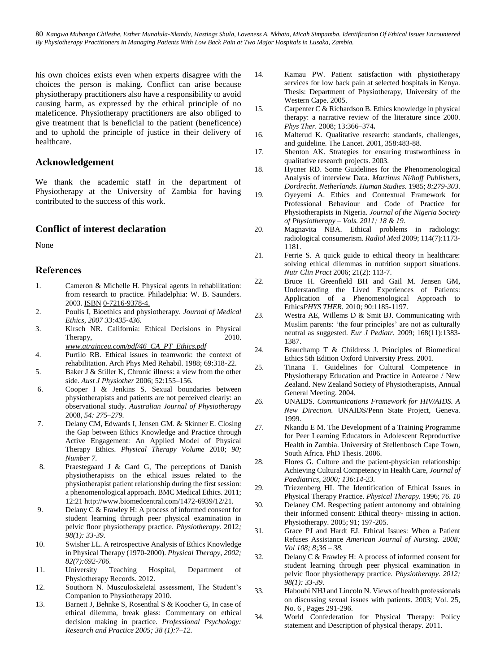his own choices exists even when experts disagree with the choices the person is making. Conflict can arise because physiotherapy practitioners also have a responsibility to avoid causing harm, as expressed by the ethical principle of no maleficence. Physiotherapy practitioners are also obliged to give treatment that is beneficial to the patient (beneficence) and to uphold the principle of justice in their delivery of healthcare.

# **Acknowledgement**

We thank the academic staff in the department of Physiotherapy at the University of Zambia for having contributed to the success of this work.

## **Conflict of interest declaration**

None

# **References**

- 1. Cameron & Michelle H. Physical agents in rehabilitation: from research to practice. Philadelphia: W. B. Saunders. 2003. [ISBN](http://en.wikipedia.org/wiki/International_Standard_Book_Number%20/%20International%20Standard%20Book%20Number) [0-7216-9378-4.](http://en.wikipedia.org/wiki/Special:BookSources/0-7216-9378-4%20/%20Special:BookSources/0-7216-9378-4)
- 2. Poulis I, Bioethics and physiotherapy. *Journal of Medical Ethics, 2007 33:435-436.*
- 3. Kirsch NR. California: Ethical Decisions in Physical Therapy, 2010.
- *[www.atrainceu.com/pdf/46\\_CA\\_PT\\_Ethics.pdf](http://www.atrainceu.com/pdf/46_CA_PT_Ethics.pdf)* 4. Purtilo RB. Ethical issues in teamwork: the context of
- rehabilitation. Arch Phys Med Rehabil. 1988; 69:318-22.
- 5. Baker J & Stiller K, Chronic illness: a view from the other side. *Aust J Physiother* 2006; 52:155–156.
- 6. Cooper I & Jenkins S. Sexual boundaries between physiotherapists and patients are not perceived clearly: an observational study. *Australian Journal of Physiotherapy*  2008, *54: 275–279.*
- 7. Delany CM, Edwards I, Jensen GM. & Skinner E. Closing the Gap between Ethics Knowledge and Practice through Active Engagement: An Applied Model of Physical Therapy Ethics. *Physical Therapy Volume* 2010; *90; Number 7.*
- 8. Praestegaard J & Gard G, The perceptions of Danish physiotherapists on the ethical issues related to the physiotherapist patient relationship during the first session: a phenomenological approach. BMC Medical Ethics. 2011; 12:2[1 http://www.biomedcentral.com/1472-6939/12/21.](http://www.biomedcentral.com/1472-6939/12/21)
- 9. Delany C & Frawley H: A process of informed consent for student learning through peer physical examination in pelvic floor physiotherapy practice. *Physiotherapy*. 2012*; 98(1): 33-39.*
- 10. Swisher LL. A retrospective Analysis of Ethics Knowledge in Physical Therapy (1970-2000). *Physical Therapy, 2002; 82(7):692-706.*
- 11. University Teaching Hospital, Department of Physiotherapy Records. 2012.
- 12. Southorn N. Musculoskeletal assessment, The Student's Companion to Physiotherapy 2010.
- 13. Barnett J, Behnke S, Rosenthal S & Koocher G, In case of ethical dilemma, break glass: Commentary on ethical decision making in practice. *Professional Psychology: Research and Practice 2005; 38 (1):7–12.*
- 14. Kamau PW. Patient satisfaction with physiotherapy services for low back pain at selected hospitals in Kenya. Thesis: Department of Physiotherapy, University of the Western Cape. 2005.
- 15. Carpenter C & Richardson B. Ethics knowledge in physical therapy: a narrative review of the literature since 2000. *Phys Ther.* 2008; 13:366–374**.**
- 16. Malterud K. Qualitative research: standards, challenges, and guideline. The Lancet. 2001, 358:483-88.
- 17. Shenton AK. Strategies for ensuring trustworthiness in qualitative research projects. 2003.
- 18. Hycner RD. Some Guidelines for the Phenomenological Analysis of interview Data. *Martinus Ni/hoff Publishers, Dordrecht. Netherlands. Human Studies.* 1985; *8:279-303.*
- 19. Oyeyemi A. Ethics and Contextual Framework for Professional Behaviour and Code of Practice for Physiotherapists in Nigeria. *Journal of the Nigeria Society of Physiotherapy – Vols. 2011; 18 & 19.*
- 20. Magnavita NBA. Ethical problems in radiology: radiological consumerism. *Radiol Med* 2009; 114(7):1173- 1181.
- 21. Ferrie S. A quick guide to ethical theory in healthcare: solving ethical dilemmas in nutrition support situations. *Nutr Clin Pract* 2006; 21(2): 113-7.
- 22. Bruce H. Greenfield BH and Gail M. Jensen GM, Understanding the Lived Experiences of Patients: Application of a Phenomenological Approach to Ethics*PHYS THER.* 2010; 90:1185-1197.
- 23. Westra AE, Willems D & Smit BJ. Communicating with Muslim parents: 'the four principles' are not as culturally neutral as suggested. *Eur J Pediatr.* 2009; 168(11):1383- 1387.
- 24. Beauchamp T & Childress J. Principles of Biomedical Ethics 5th Edition Oxford University Press. 2001.
- 25. Tinana T. Guidelines for Cultural Competence in Physiotherapy Education and Practice in Aotearoe / New Zealand. New Zealand Society of Physiotherapists, Annual General Meeting. 2004.
- 26. UNAIDS. *Communications Framework for HIV/AIDS. A New Direction.* UNAIDS/Penn State Project, Geneva. 1999.
- 27. Nkandu E M. The Development of a Training Programme for Peer Learning Educators in Adolescent Reproductive Health in Zambia. University of Stellenbosch Cape Town, South Africa. PhD Thesis. 2006.
- 28. Flores G. Culture and the patient-physician relationship: Achieving Cultural Competency in Health Care, *Journal of Paediatrics, 2000; 136:14-23.*
- 29. Triezenberg HI. The Identification of Ethical Issues in Physical Therapy Practice. *Physical Therapy.* 1996; *76. 10*
- 30. Delaney CM. Respecting patient autonomy and obtaining their informed consent: Ethical theory- missing in action. Physiotherapy. 2005; 91; 197-205.
- 31. Grace PJ and Hardt EJ. Ethical Issues: When a Patient Refuses Assistance *American Journal of Nursing. 2008; Vol 108; 8;36 – 38.*
- 32. Delany C & Frawley H: A process of informed consent for student learning through peer physical examination in pelvic floor physiotherapy practice. *Physiotherapy. 2012; 98(1): 33-39.*
- 33. Haboubi NHJ and Lincoln N. Views of health professionals on discussing sexual issues with patients. 2003; Vol. 25, No. 6 , Pages 291-296.
- 34. World Confederation for Physical Therapy: Policy statement and Description of physical therapy. 2011.